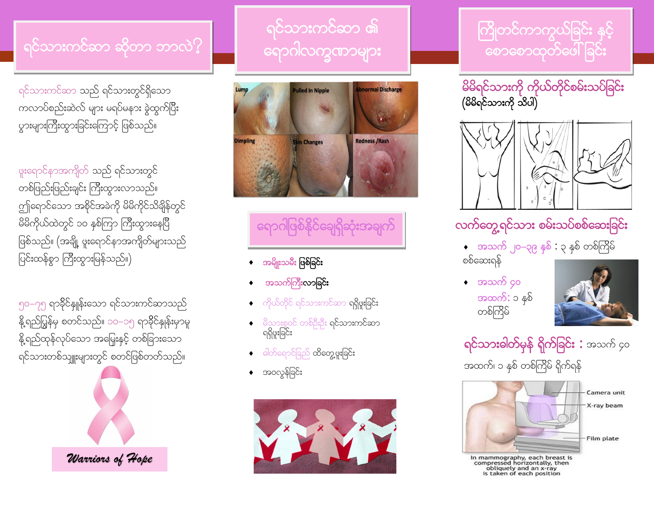#### ရင်သားကင်ဆာ ဆိုတာ ဘာလဲ $?$

ရင်သားကင်ဆာ သည် ရင်သားတွင်ရှိသော ကလာပ်စည်းဆဲလ် များ မရပ်မနား ခွဲထွက်ပြီး yားများကြီးထွားခြင်းကြောင့် ဖြစ်သည်။

ဖူးရောင်နာအကျိတ် သည် ရင်သားတွင် တစ်ဖြည်းဖြည်းချင်း ကြီးထွားလာသည်။ ကျ်ရောင်သော အစိုင်အခဲကို မိမိကိုင်သိချိန်တွင် မိမိကိုယ်ထဲတွင် ၁၀ နှစ်ကြာ ကြီးထွားနေပြီ ဖြစ်သည်။ (အချို့ ဖူးရောင်နာအကျိတ်များသည် ပြင်းထန်စွာ ကြီးထွားမြန်သည်။)

၅၀–၇၅ ရာခိုင်နျုန်းသော ရင်သားကင်ဆာသည် နို့ရည်ပြွန်မှ စတင်သည်။ ၁၀–၁၅ ရာခိုင်နှုန်းမှာမူ နို့ရည်ထုန်လုပ်သော အမြှေးနှင့် တစ်ခြားသော ရင်သားတစ်သျှူးများတွင် စတင်ဖြစ်တတ်သည်။



### <u>ရင်သားကင်ဆာ ၏</u> <u>ရောဂါလက္ခဏာများ</u>



## ကြောက်<br>ရောဂါဖြစ်နိုင်ချေရှိဆုံးအချက်

- အမျိုးသမီး ဖြစ်ခြင်း
- အသက်ကြီးလာခြင်း
- ကိုယ်တိုင် ရင်သားကင်ဆာ **ရရှိဖူးခြင်း**
- ုမိသားစုဝင် တစ်ဦးဦး **ရင်သားကင်ဆာ** ရရှိဖူးခြင်း
- $\partial \phi$ ါတ်ရောင်ခြည် ထိတွေ့ဖူးခြင်း
- အ၀လွန်ခြင်း



#### ကြိုတင်ကာကွယ်ခြင်း နှင့် <u>စောစောထုတ်ဖေါ်ခြင်း</u>





### လက်တွေ့ရင်သား စမ်းသပ်စစ်ဆေးခြင်း

 $\bullet$  အသက် ၂၀–၃၉ နှစ် : ၃ နှစ် တစ်ကြိမ်

စစ်ဆေးရန်



 $\bullet$  အသက် ၄၀ အထက်: ၁ နှစ် တစ်ကြိမ်

ရ**င်သားခါတ်မှန် ရိုက်ခြင်း :** အသက် ၄၀

အထက်၊ ၁ နှစ် တစ်ကြိမ် ရိုက်ရန်



In mammography, each breast is<br>compressed horizontally, then<br>obliquely and an x-ray<br>is taken of each position